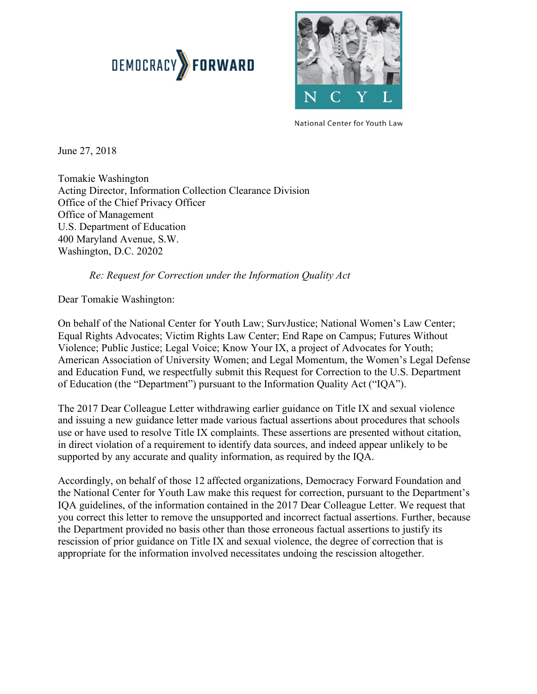



National Center for Youth Law

June 27, 2018

 Tomakie Washington Acting Director, Information Collection Clearance Division Office of the Chief Privacy Officer Office of Management U.S. Department of Education 400 Maryland Avenue, S.W. Washington, D.C. 20202

### *Re: Request for Correction under the Information Quality Act*

Dear Tomakie Washington:

 On behalf of the National Center for Youth Law; SurvJustice; National Women's Law Center; Equal Rights Advocates; Victim Rights Law Center; End Rape on Campus; Futures Without Violence; Public Justice; Legal Voice; Know Your IX, a project of Advocates for Youth; American Association of University Women; and Legal Momentum, the Women's Legal Defense and Education Fund, we respectfully submit this Request for Correction to the U.S. Department of Education (the "Department") pursuant to the Information Quality Act ("IQA").

 The 2017 Dear Colleague Letter withdrawing earlier guidance on Title IX and sexual violence and issuing a new guidance letter made various factual assertions about procedures that schools use or have used to resolve Title IX complaints. These assertions are presented without citation, in direct violation of a requirement to identify data sources, and indeed appear unlikely to be supported by any accurate and quality information, as required by the IQA.

 Accordingly, on behalf of those 12 affected organizations, Democracy Forward Foundation and the National Center for Youth Law make this request for correction, pursuant to the Department's IQA guidelines, of the information contained in the 2017 Dear Colleague Letter. We request that you correct this letter to remove the unsupported and incorrect factual assertions. Further, because the Department provided no basis other than those erroneous factual assertions to justify its rescission of prior guidance on Title IX and sexual violence, the degree of correction that is appropriate for the information involved necessitates undoing the rescission altogether.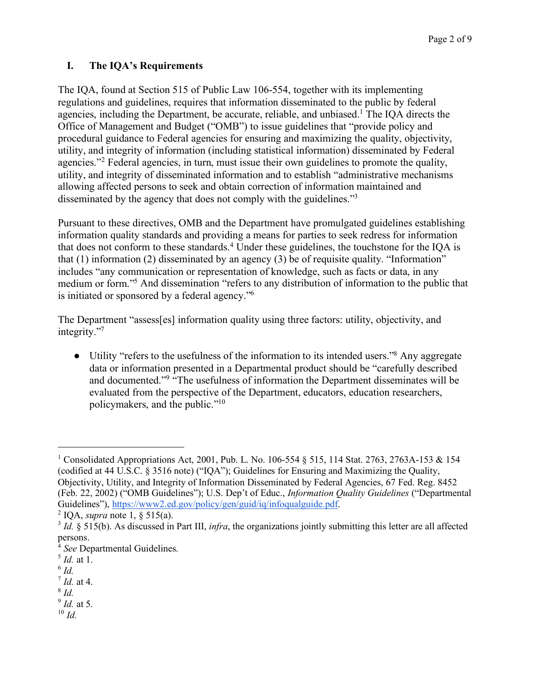# **I. The IQA's Requirements**

 The IQA, found at Section 515 of Public Law 106-554, together with its implementing regulations and guidelines, requires that information disseminated to the public by federal agencies, including the Department, be accurate, reliable, and unbiased.<sup>1</sup> The IQA directs the Office of Management and Budget ("OMB") to issue guidelines that "provide policy and procedural guidance to Federal agencies for ensuring and maximizing the quality, objectivity, agencies."<sup>2</sup> Federal agencies, in turn, must issue their own guidelines to promote the quality, utility, and integrity of disseminated information and to establish "administrative mechanisms allowing affected persons to seek and obtain correction of information maintained and disseminated by the agency that does not comply with the guidelines."<sup>3</sup> utility, and integrity of information (including statistical information) disseminated by Federal

 Pursuant to these directives, OMB and the Department have promulgated guidelines establishing information quality standards and providing a means for parties to seek redress for information that does not conform to these standards.<sup>4</sup> Under these guidelines, the touchstone for the IQA is that (1) information (2) disseminated by an agency (3) be of requisite quality. "Information" includes "any communication or representation of knowledge, such as facts or data, in any medium or form."5 And dissemination "refers to any distribution of information to the public that is initiated or sponsored by a federal agency."6

 The Department "assess[es] information quality using three factors: utility, objectivity, and integrity."7

• Utility "refers to the usefulness of the information to its intended users."<sup>8</sup> Any aggregate data or information presented in a Departmental product should be "carefully described and documented."<sup>9</sup> "The usefulness of information the Department disseminates will be evaluated from the perspective of the Department, educators, education researchers, policymakers, and the public."10

<sup>6</sup>*Id.* 

 $\overline{\phantom{a}}$ 

- <sup>7</sup>*Id.* at 4.
- <sup>8</sup>*Id.*
- <sup>9</sup>*Id.* at 5.
- $10$  *Id.*

<sup>&</sup>lt;sup>1</sup> Consolidated Appropriations Act, 2001, Pub. L. No. 106-554 § 515, 114 Stat. 2763, 2763A-153 & 154 (codified at 44 U.S.C. § 3516 note) ("IQA"); Guidelines for Ensuring and Maximizing the Quality, Objectivity, Utility, and Integrity of Information Disseminated by Federal Agencies, 67 Fed. Reg. 8452 (Feb. 22, 2002) ("OMB Guidelines"); U.S. Dep't of Educ., *Information Quality Guidelines* ("Departmental Guidelines"), https://www2.ed.gov/policy/gen/guid/iq/infoqualguide.pdf.

<sup>&</sup>lt;sup>2</sup> IQA, *supra* note 1,  $\frac{6}{5}$  515(a).

<sup>&</sup>lt;sup>3</sup> *Id.* § 515(b). As discussed in Part III, *infra*, the organizations jointly submitting this letter are all affected persons.

 <sup>4</sup>*See* Departmental Guidelines.

<sup>5</sup>*Id.* at 1.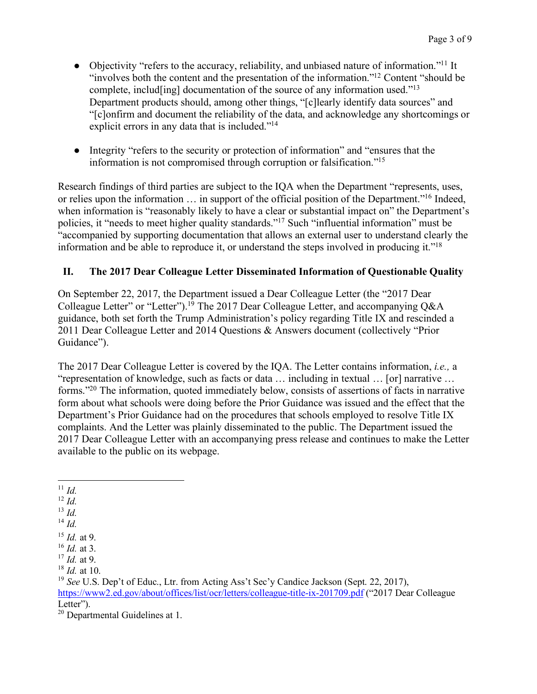- Objectivity "refers to the accuracy, reliability, and unbiased nature of information."<sup>11</sup> It "involves both the content and the presentation of the information."<sup>12</sup> Content "should be complete, includ[ing] documentation of the source of any information used."<sup>13</sup> Department products should, among other things, "[c]learly identify data sources" and "[c]onfirm and document the reliability of the data, and acknowledge any shortcomings or explicit errors in any data that is included."<sup>14</sup>
- ● Integrity "refers to the security or protection of information" and "ensures that the information is not compromised through corruption or falsification."15

 Research findings of third parties are subject to the IQA when the Department "represents, uses, or relies upon the information ... in support of the official position of the Department."<sup>16</sup> Indeed, when information is "reasonably likely to have a clear or substantial impact on" the Department's policies, it "needs to meet higher quality standards."<sup>17</sup> Such "influential information" must be "accompanied by supporting documentation that allows an external user to understand clearly the information and be able to reproduce it, or understand the steps involved in producing it."<sup>18</sup>

## **II. The 2017 Dear Colleague Letter Disseminated Information of Questionable Quality**

 On September 22, 2017, the Department issued a Dear Colleague Letter (the "2017 Dear Colleague Letter" or "Letter").<sup>19</sup> The 2017 Dear Colleague Letter, and accompanying  $Q&A$  guidance, both set forth the Trump Administration's policy regarding Title IX and rescinded a 2011 Dear Colleague Letter and 2014 Questions & Answers document (collectively "Prior Guidance").

 The 2017 Dear Colleague Letter is covered by the IQA. The Letter contains information, *i.e.,* a "representation of knowledge, such as facts or data … including in textual … [or] narrative … forms."<sup>20</sup> The information, quoted immediately below, consists of assertions of facts in narrative form about what schools were doing before the Prior Guidance was issued and the effect that the Department's Prior Guidance had on the procedures that schools employed to resolve Title IX complaints. And the Letter was plainly disseminated to the public. The Department issued the 2017 Dear Colleague Letter with an accompanying press release and continues to make the Letter available to the public on its webpage.

 $13$  *Id.* 

l  $11$  *Id.* 

 $12$  *Id.* 

 <sup>14</sup>*Id.* 

<sup>15</sup>*Id.* at 9.

<sup>16</sup>*Id.* at 3.

<sup>17</sup>*Id.* at 9.

 <sup>18</sup>*Id.* at 10.

<sup>&</sup>lt;sup>19</sup> See U.S. Dep't of Educ., Ltr. from Acting Ass't Sec'y Candice Jackson (Sept. 22, 2017), https://www2.ed.gov/about/offices/list/ocr/letters/colleague-title-ix-201709.pdf ("2017 Dear Colleague Letter").

 $20$  Departmental Guidelines at 1.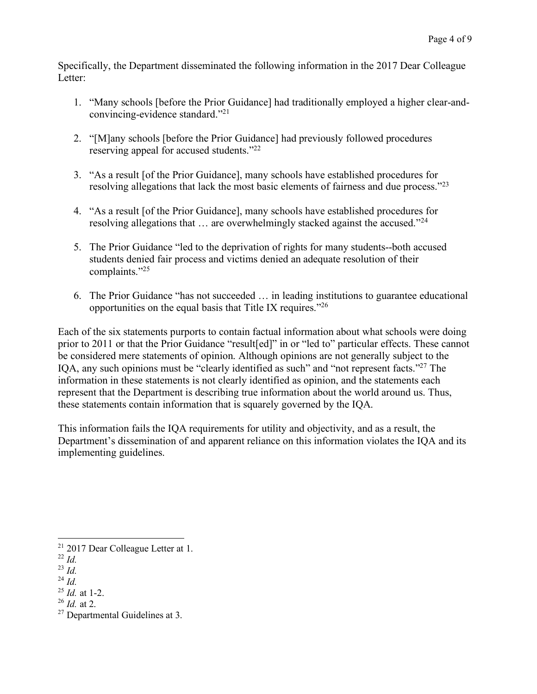Specifically, the Department disseminated the following information in the 2017 Dear Colleague Letter:

- 1. "Many schools [before the Prior Guidance] had traditionally employed a higher clear-and-convincing-evidence standard."21
- 2. "[M]any schools [before the Prior Guidance] had previously followed procedures reserving appeal for accused students."<sup>22</sup>
- 3. "As a result [of the Prior Guidance], many schools have established procedures for resolving allegations that lack the most basic elements of fairness and due process."<sup>23</sup>
- 4. "As a result [of the Prior Guidance], many schools have established procedures for resolving allegations that ... are overwhelmingly stacked against the accused."<sup>24</sup>
- 5. The Prior Guidance "led to the deprivation of rights for many students--both accused students denied fair process and victims denied an adequate resolution of their complaints."25
- 6. The Prior Guidance "has not succeeded … in leading institutions to guarantee educational opportunities on the equal basis that Title IX requires."<sup>26</sup>

 Each of the six statements purports to contain factual information about what schools were doing prior to 2011 or that the Prior Guidance "result[ed]" in or "led to" particular effects. These cannot be considered mere statements of opinion. Although opinions are not generally subject to the IQA, any such opinions must be "clearly identified as such" and "not represent facts."<sup>27</sup> The information in these statements is not clearly identified as opinion, and the statements each represent that the Department is describing true information about the world around us. Thus, these statements contain information that is squarely governed by the IQA.

 This information fails the IQA requirements for utility and objectivity, and as a result, the Department's dissemination of and apparent reliance on this information violates the IQA and its implementing guidelines. implementing guidelines.<br>
21 2017 Dear Colleague Letter at 1.

 $\overline{a}$ 

 <sup>22</sup>*Id.* 

 <sup>23</sup>*Id.* 

 <sup>24</sup>*Id.* 

 <sup>25</sup>*Id.* at 1-2.

 <sup>26</sup>*Id.* at 2.

 $27$  Departmental Guidelines at 3.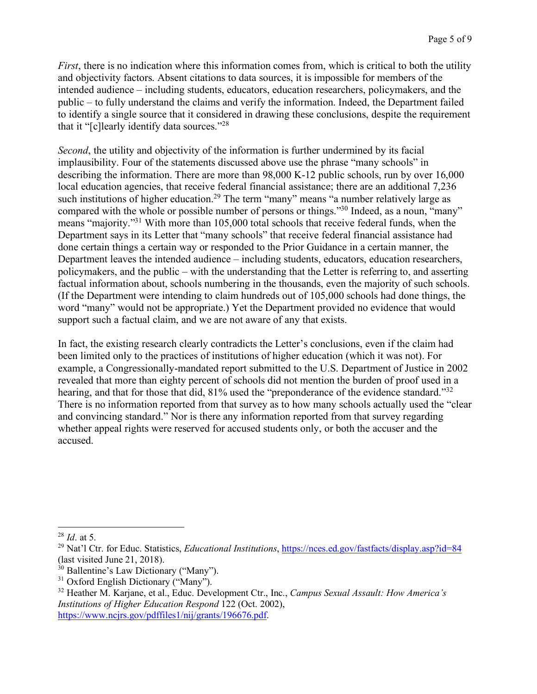*First*, there is no indication where this information comes from, which is critical to both the utility and objectivity factors. Absent citations to data sources, it is impossible for members of the intended audience – including students, educators, education researchers, policymakers, and the public – to fully understand the claims and verify the information. Indeed, the Department failed to identify a single source that it considered in drawing these conclusions, despite the requirement that it "[c]learly identify data sources."28

 *Second*, the utility and objectivity of the information is further undermined by its facial implausibility. Four of the statements discussed above use the phrase "many schools" in describing the information. There are more than 98,000 K-12 public schools, run by over 16,000 local education agencies, that receive federal financial assistance; there are an additional 7,236 such institutions of higher education.<sup>29</sup> The term "many" means "a number relatively large as compared with the whole or possible number of persons or things."<sup>30</sup> Indeed, as a noun, "many" means "majority."<sup>31</sup> With more than 105,000 total schools that receive federal funds, when the Department says in its Letter that "many schools" that receive federal financial assistance had done certain things a certain way or responded to the Prior Guidance in a certain manner, the Department leaves the intended audience – including students, educators, education researchers, policymakers, and the public – with the understanding that the Letter is referring to, and asserting factual information about, schools numbering in the thousands, even the majority of such schools. (If the Department were intending to claim hundreds out of 105,000 schools had done things, the word "many" would not be appropriate.) Yet the Department provided no evidence that would support such a factual claim, and we are not aware of any that exists.

 In fact, the existing research clearly contradicts the Letter's conclusions, even if the claim had been limited only to the practices of institutions of higher education (which it was not). For example, a Congressionally-mandated report submitted to the U.S. Department of Justice in 2002 revealed that more than eighty percent of schools did not mention the burden of proof used in a hearing, and that for those that did, 81% used the "preponderance of the evidence standard."<sup>32</sup> There is no information reported from that survey as to how many schools actually used the "clear and convincing standard." Nor is there any information reported from that survey regarding whether appeal rights were reserved for accused students only, or both the accuser and the accused.

 $28$  *Id.* at 5.

<sup>28</sup> *Id.* at 5.<br><sup>28</sup> *Id.* at 5.<br><sup>29</sup> Nat'l Ctr. for Educ. Statistics, *Educational Institutions*, <u>https://nces.ed.gov/fastfacts/display.asp?id=84</u> (last visited June 21, 2018).

<sup>&</sup>lt;sup>30</sup> Ballentine's Law Dictionary ("Many").

<sup>&</sup>lt;sup>31</sup> Oxford English Dictionary ("Many").

 32 Heather M. Karjane, et al., Educ. Development Ctr., Inc., *Campus Sexual Assault: How America's Institutions of Higher Education Respond* 122 (Oct. 2002), https://www.ncjrs.gov/pdffiles1/nij/grants/196676.pdf.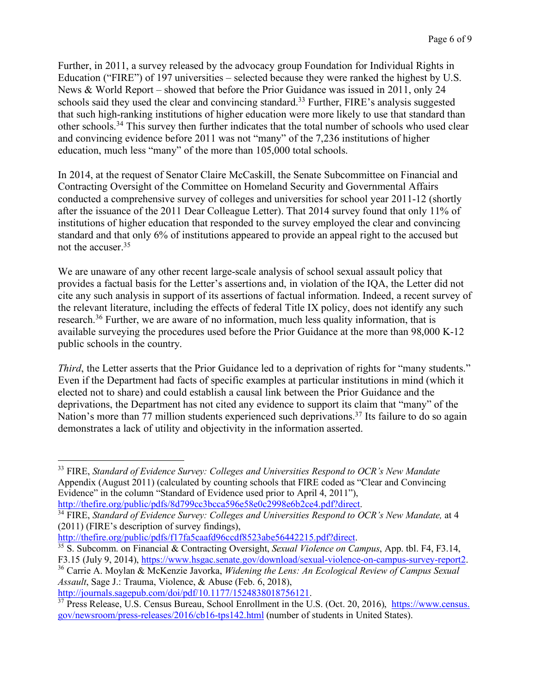Further, in 2011, a survey released by the advocacy group Foundation for Individual Rights in Education ("FIRE") of 197 universities – selected because they were ranked the highest by U.S. News & World Report – showed that before the Prior Guidance was issued in 2011, only 24 schools said they used the clear and convincing standard.<sup>33</sup> Further, FIRE's analysis suggested that such high-ranking institutions of higher education were more likely to use that standard than other schools.<sup>34</sup> This survey then further indicates that the total number of schools who used clear and convincing evidence before 2011 was not "many" of the 7,236 institutions of higher education, much less "many" of the more than 105,000 total schools.

 In 2014, at the request of Senator Claire McCaskill, the Senate Subcommittee on Financial and Contracting Oversight of the Committee on Homeland Security and Governmental Affairs conducted a comprehensive survey of colleges and universities for school year 2011-12 (shortly after the issuance of the 2011 Dear Colleague Letter). That 2014 survey found that only 11% of institutions of higher education that responded to the survey employed the clear and convincing standard and that only 6% of institutions appeared to provide an appeal right to the accused but not the accuser.<sup>35</sup>

 We are unaware of any other recent large-scale analysis of school sexual assault policy that provides a factual basis for the Letter's assertions and, in violation of the IQA, the Letter did not cite any such analysis in support of its assertions of factual information. Indeed, a recent survey of the relevant literature, including the effects of federal Title IX policy, does not identify any such research.<sup>36</sup> Further, we are aware of no information, much less quality information, that is available surveying the procedures used before the Prior Guidance at the more than 98,000 K-12 public schools in the country.

*Third*, the Letter asserts that the Prior Guidance led to a deprivation of rights for "many students." Even if the Department had facts of specific examples at particular institutions in mind (which it elected not to share) and could establish a causal link between the Prior Guidance and the deprivations, the Department has not cited any evidence to support its claim that "many" of the Nation's more than 77 million students experienced such deprivations.<sup>37</sup> Its failure to do so again demonstrates a lack of utility and objectivity in the information asserted.

 $\overline{a}$ 

<sup>&</sup>lt;sup>33</sup> FIRE, *Standard of Evidence Survey: Colleges and Universities Respond to OCR's New Mandate*  Appendix (August 2011) (calculated by counting schools that FIRE coded as "Clear and Convincing Evidence" in the column "Standard of Evidence used prior to April 4, 2011"),

 http://thefire.org/public/pdfs/8d799cc3bcca596e58e0c2998e6b2ce4.pdf?direct. 34 FIRE, *Standard of Evidence Survey: Colleges and Universities Respond to OCR's New Mandate,* at 4 (2011) (FIRE's description of survey findings),

 http://thefire.org/public/pdfs/f17fa5caafd96ccdf8523abe56442215.pdf?direct. 35 S. Subcomm. on Financial & Contracting Oversight, *Sexual Violence on Campus*, App. tbl. F4, F3.14, F3.15 (July 9, 2014), https://www.hsgac.senate.gov/download/sexual-violence-on-campus-survey-report2.

 F3.15 (July 9, 2014), https://www.hsgac.senate.gov/download/sexual-violence-on-campus-survey-report2. 36 Carrie A. Moylan & McKenzie Javorka, *Widening the Lens: An Ecological Review of Campus Sexual Assault*, Sage J.: Trauma, Violence, & Abuse (Feb. 6, 2018),

http://journals.sagepub.com/doi/pdf/10.1177/1524838018756121.<br><sup>37</sup> Press Release, U.S. Census Bureau, School Enrollment in the U.S. (Oct. 20, 2016), https://www.census. gov/newsroom/press-releases/2016/cb16-tps142.html (number of students in United States).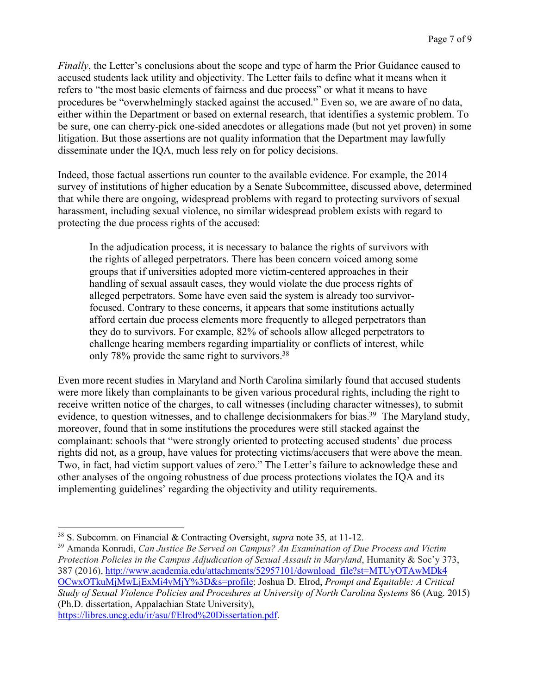*Finally*, the Letter's conclusions about the scope and type of harm the Prior Guidance caused to accused students lack utility and objectivity. The Letter fails to define what it means when it refers to "the most basic elements of fairness and due process" or what it means to have procedures be "overwhelmingly stacked against the accused." Even so, we are aware of no data, either within the Department or based on external research, that identifies a systemic problem. To be sure, one can cherry-pick one-sided anecdotes or allegations made (but not yet proven) in some litigation. But those assertions are not quality information that the Department may lawfully disseminate under the IQA, much less rely on for policy decisions.

 Indeed, those factual assertions run counter to the available evidence. For example, the 2014 survey of institutions of higher education by a Senate Subcommittee, discussed above, determined that while there are ongoing, widespread problems with regard to protecting survivors of sexual harassment, including sexual violence, no similar widespread problem exists with regard to protecting the due process rights of the accused:

 In the adjudication process, it is necessary to balance the rights of survivors with the rights of alleged perpetrators. There has been concern voiced among some groups that if universities adopted more victim-centered approaches in their handling of sexual assault cases, they would violate the due process rights of alleged perpetrators. Some have even said the system is already too survivor- focused. Contrary to these concerns, it appears that some institutions actually afford certain due process elements more frequently to alleged perpetrators than they do to survivors. For example, 82% of schools allow alleged perpetrators to challenge hearing members regarding impartiality or conflicts of interest, while only 78% provide the same right to survivors.<sup>38</sup>

 Even more recent studies in Maryland and North Carolina similarly found that accused students were more likely than complainants to be given various procedural rights, including the right to receive written notice of the charges, to call witnesses (including character witnesses), to submit evidence, to question witnesses, and to challenge decisionmakers for bias.<sup>39</sup> The Maryland study, moreover, found that in some institutions the procedures were still stacked against the complainant: schools that "were strongly oriented to protecting accused students' due process rights did not, as a group, have values for protecting victims/accusers that were above the mean. Two, in fact, had victim support values of zero." The Letter's failure to acknowledge these and other analyses of the ongoing robustness of due process protections violates the IQA and its implementing guidelines' regarding the objectivity and utility requirements.

https://libres.uncg.edu/ir/asu/f/Elrod%20Dissertation.pdf.

 $\overline{a}$ 

 38 S. Subcomm. on Financial & Contracting Oversight, *supra* note 35*,* at 11-12.

 39 Amanda Konradi, *Can Justice Be Served on Campus? An Examination of Due Process and Victim Protection Policies in the Campus Adjudication of Sexual Assault in Maryland*, Humanity & Soc'y 373, OCwxOTkuMjMwLjExMi4yMjY%3D&s=profile; Joshua D. Elrod, *Prompt and Equitable: A Critical Study of Sexual Violence Policies and Procedures at University of North Carolina Systems* 86 (Aug. 2015) (Ph.D. dissertation, Appalachian State University), 387 (2016), http://www.academia.edu/attachments/52957101/download\_file?st=MTUyOTAwMDk4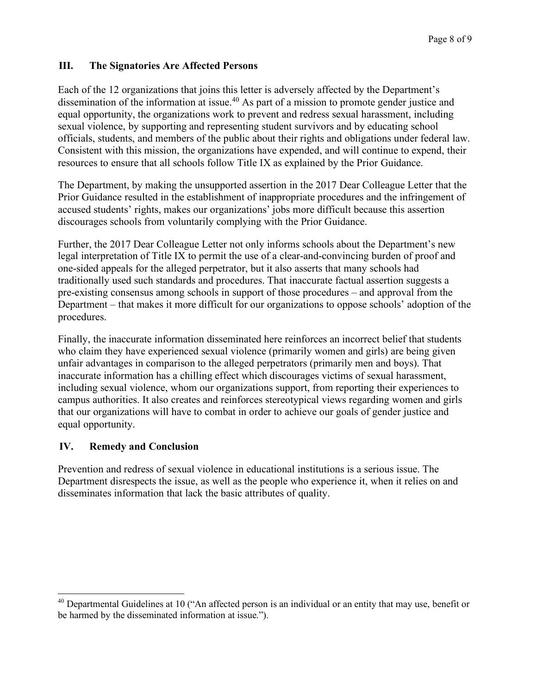### **III. The Signatories Are Affected Persons**

 Each of the 12 organizations that joins this letter is adversely affected by the Department's dissemination of the information at issue.<sup>40</sup> As part of a mission to promote gender justice and equal opportunity, the organizations work to prevent and redress sexual harassment, including sexual violence, by supporting and representing student survivors and by educating school officials, students, and members of the public about their rights and obligations under federal law. Consistent with this mission, the organizations have expended, and will continue to expend, their resources to ensure that all schools follow Title IX as explained by the Prior Guidance.

 The Department, by making the unsupported assertion in the 2017 Dear Colleague Letter that the Prior Guidance resulted in the establishment of inappropriate procedures and the infringement of accused students' rights, makes our organizations' jobs more difficult because this assertion discourages schools from voluntarily complying with the Prior Guidance.

 Further, the 2017 Dear Colleague Letter not only informs schools about the Department's new legal interpretation of Title IX to permit the use of a clear-and-convincing burden of proof and one-sided appeals for the alleged perpetrator, but it also asserts that many schools had traditionally used such standards and procedures. That inaccurate factual assertion suggests a pre-existing consensus among schools in support of those procedures – and approval from the Department – that makes it more difficult for our organizations to oppose schools' adoption of the procedures.

procedures.<br>Finally, the inaccurate information disseminated here reinforces an incorrect belief that students who claim they have experienced sexual violence (primarily women and girls) are being given unfair advantages in comparison to the alleged perpetrators (primarily men and boys). That inaccurate information has a chilling effect which discourages victims of sexual harassment, including sexual violence, whom our organizations support, from reporting their experiences to campus authorities. It also creates and reinforces stereotypical views regarding women and girls that our organizations will have to combat in order to achieve our goals of gender justice and equal opportunity.

### **IV. Remedy and Conclusion**

 $\overline{a}$ 

 Prevention and redress of sexual violence in educational institutions is a serious issue. The Department disrespects the issue, as well as the people who experience it, when it relies on and disseminates information that lack the basic attributes of quality.

<sup>&</sup>lt;sup>40</sup> Departmental Guidelines at 10 ("An affected person is an individual or an entity that may use, benefit or be harmed by the disseminated information at issue.").